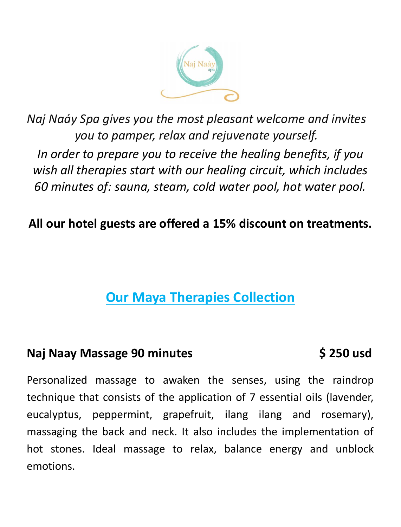

*Naj Naáy Spa gives you the most pleasant welcome and invites you to pamper, relax and rejuvenate yourself. In order to prepare you to receive the healing benefits, if you wish all therapies start with our healing circuit, which includes 60 minutes of: sauna, steam, cold water pool, hot water pool.*

# **All our hotel guests are offered a 15% discount on treatments.**

# **Our Maya Therapies Collection**

### **Naj Naay Massage 90 minutes**  $\left( \begin{array}{ccc} 5 & 250 \\ 5 & 250 \end{array} \right)$

Personalized massage to awaken the senses, using the raindrop technique that consists of the application of 7 essential oils (lavender, eucalyptus, peppermint, grapefruit, ilang ilang and rosemary), massaging the back and neck. It also includes the implementation of hot stones. Ideal massage to relax, balance energy and unblock emotions.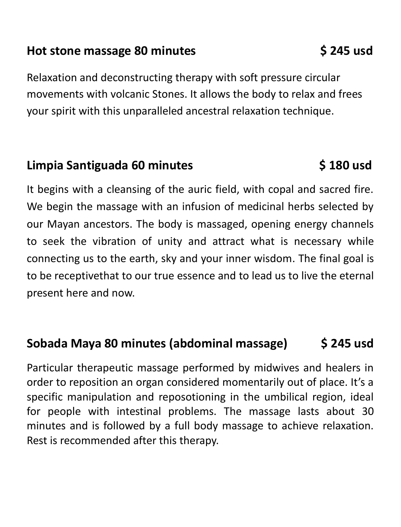### Hot stone massage 80 minutes **\$245 usd**

Relaxation and deconstructing therapy with soft pressure circular movements with volcanic Stones. It allows the body to relax and frees your spirit with this unparalleled ancestral relaxation technique.

## Limpia Santiguada 60 minutes **\$180 usd**

It begins with a cleansing of the auric field, with copal and sacred fire. We begin the massage with an infusion of medicinal herbs selected by our Mayan ancestors. The body is massaged, opening energy channels to seek the vibration of unity and attract what is necessary while connecting us to the earth, sky and your inner wisdom. The final goal is to be receptivethat to our true essence and to lead us to live the eternal present here and now.

# **Sobada Maya 80 minutes (abdominal massage) \$ 245 usd**

Particular therapeutic massage performed by midwives and healers in order to reposition an organ considered momentarily out of place. It's a specific manipulation and reposotioning in the umbilical region, ideal for people with intestinal problems. The massage lasts about 30 minutes and is followed by a full body massage to achieve relaxation. Rest is recommended after this therapy.